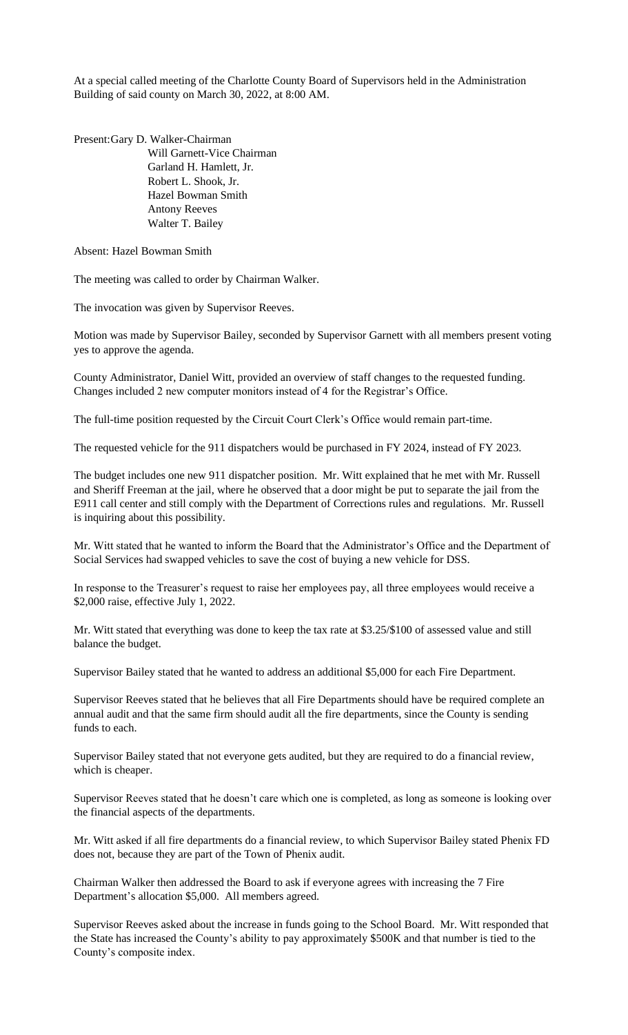At a special called meeting of the Charlotte County Board of Supervisors held in the Administration Building of said county on March 30, 2022, at 8:00 AM.

Present:Gary D. Walker-Chairman Will Garnett-Vice Chairman Garland H. Hamlett, Jr. Robert L. Shook, Jr. Hazel Bowman Smith Antony Reeves Walter T. Bailey

Absent: Hazel Bowman Smith

The meeting was called to order by Chairman Walker.

The invocation was given by Supervisor Reeves.

Motion was made by Supervisor Bailey, seconded by Supervisor Garnett with all members present voting yes to approve the agenda.

County Administrator, Daniel Witt, provided an overview of staff changes to the requested funding. Changes included 2 new computer monitors instead of 4 for the Registrar's Office.

The full-time position requested by the Circuit Court Clerk's Office would remain part-time.

The requested vehicle for the 911 dispatchers would be purchased in FY 2024, instead of FY 2023.

The budget includes one new 911 dispatcher position. Mr. Witt explained that he met with Mr. Russell and Sheriff Freeman at the jail, where he observed that a door might be put to separate the jail from the E911 call center and still comply with the Department of Corrections rules and regulations. Mr. Russell is inquiring about this possibility.

Mr. Witt stated that he wanted to inform the Board that the Administrator's Office and the Department of Social Services had swapped vehicles to save the cost of buying a new vehicle for DSS.

In response to the Treasurer's request to raise her employees pay, all three employees would receive a \$2,000 raise, effective July 1, 2022.

Mr. Witt stated that everything was done to keep the tax rate at \$3.25/\$100 of assessed value and still balance the budget.

Supervisor Bailey stated that he wanted to address an additional \$5,000 for each Fire Department.

Supervisor Reeves stated that he believes that all Fire Departments should have be required complete an annual audit and that the same firm should audit all the fire departments, since the County is sending funds to each.

Supervisor Bailey stated that not everyone gets audited, but they are required to do a financial review, which is cheaper.

Supervisor Reeves stated that he doesn't care which one is completed, as long as someone is looking over the financial aspects of the departments.

Mr. Witt asked if all fire departments do a financial review, to which Supervisor Bailey stated Phenix FD does not, because they are part of the Town of Phenix audit.

Chairman Walker then addressed the Board to ask if everyone agrees with increasing the 7 Fire Department's allocation \$5,000. All members agreed.

Supervisor Reeves asked about the increase in funds going to the School Board. Mr. Witt responded that the State has increased the County's ability to pay approximately \$500K and that number is tied to the County's composite index.